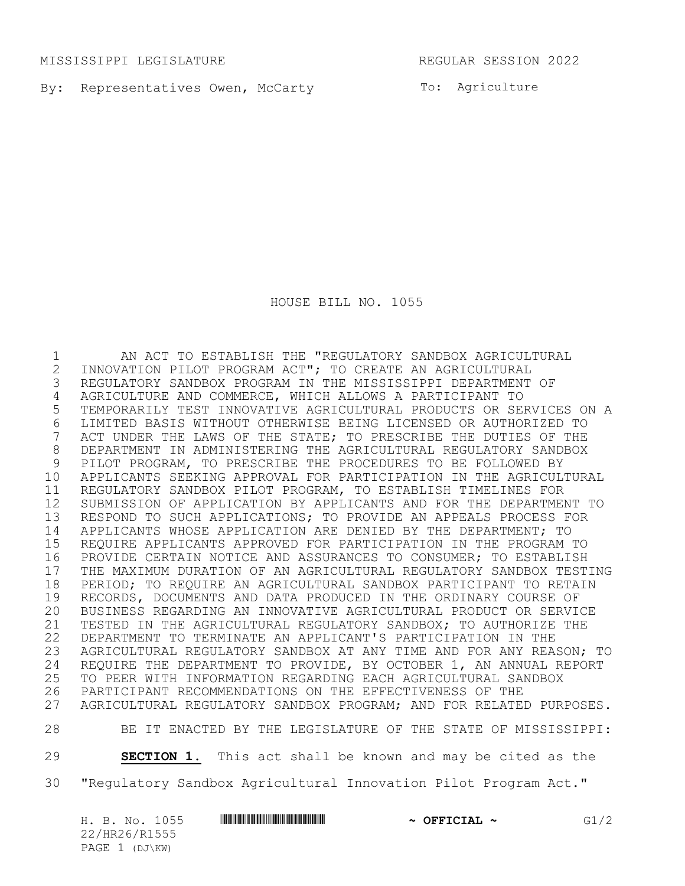MISSISSIPPI LEGISLATURE REGULAR SESSION 2022

By: Representatives Owen, McCarty **Example 18** To: Agriculture

HOUSE BILL NO. 1055

 AN ACT TO ESTABLISH THE "REGULATORY SANDBOX AGRICULTURAL 2 INNOVATION PILOT PROGRAM ACT"; TO CREATE AN AGRICULTURAL<br>3 REGULATORY SANDBOX PROGRAM IN THE MISSISSIPPI DEPARTMENT REGULATORY SANDBOX PROGRAM IN THE MISSISSIPPI DEPARTMENT OF AGRICULTURE AND COMMERCE, WHICH ALLOWS A PARTICIPANT TO TEMPORARILY TEST INNOVATIVE AGRICULTURAL PRODUCTS OR SERVICES ON A 6 LIMITED BASIS WITHOUT OTHERWISE BEING LICENSED OR AUTHORIZED TO<br>7 ACT UNDER THE LAWS OF THE STATE; TO PRESCRIBE THE DUTIES OF THE ACT UNDER THE LAWS OF THE STATE; TO PRESCRIBE THE DUTIES OF THE DEPARTMENT IN ADMINISTERING THE AGRICULTURAL REGULATORY SANDBOX PILOT PROGRAM, TO PRESCRIBE THE PROCEDURES TO BE FOLLOWED BY APPLICANTS SEEKING APPROVAL FOR PARTICIPATION IN THE AGRICULTURAL REGULATORY SANDBOX PILOT PROGRAM, TO ESTABLISH TIMELINES FOR SUBMISSION OF APPLICATION BY APPLICANTS AND FOR THE DEPARTMENT TO RESPOND TO SUCH APPLICATIONS; TO PROVIDE AN APPEALS PROCESS FOR APPLICANTS WHOSE APPLICATION ARE DENIED BY THE DEPARTMENT; TO REQUIRE APPLICANTS APPROVED FOR PARTICIPATION IN THE PROGRAM TO PROVIDE CERTAIN NOTICE AND ASSURANCES TO CONSUMER; TO ESTABLISH 17 THE MAXIMUM DURATION OF AN AGRICULTURAL REGULATORY SANDBOX TESTING<br>18 PERIOD; TO REQUIRE AN AGRICULTURAL SANDBOX PARTICIPANT TO RETAIN 18 PERIOD; TO REQUIRE AN AGRICULTURAL SANDBOX PARTICIPANT TO RETAIN<br>19 RECORDS, DOCUMENTS AND DATA PRODUCED IN THE ORDINARY COURSE OF 19 RECORDS, DOCUMENTS AND DATA PRODUCED IN THE ORDINARY COURSE OF<br>20 BUSINESS REGARDING AN INNOVATIVE AGRICULTURAL PRODUCT OR SERVI BUSINESS REGARDING AN INNOVATIVE AGRICULTURAL PRODUCT OR SERVICE TESTED IN THE AGRICULTURAL REGULATORY SANDBOX; TO AUTHORIZE THE DEPARTMENT TO TERMINATE AN APPLICANT'S PARTICIPATION IN THE AGRICULTURAL REGULATORY SANDBOX AT ANY TIME AND FOR ANY REASON; TO 24 REQUIRE THE DEPARTMENT TO PROVIDE, BY OCTOBER 1, AN ANNUAL REPORT<br>25 TO PEER WITH INFORMATION REGARDING EACH AGRICULTURAL SANDBOX 25 TO PEER WITH INFORMATION REGARDING EACH AGRICULTURAL SANDBOX<br>26 PARTICIPANT RECOMMENDATIONS ON THE EFFECTIVENESS OF THE PARTICIPANT RECOMMENDATIONS ON THE EFFECTIVENESS OF THE AGRICULTURAL REGULATORY SANDBOX PROGRAM; AND FOR RELATED PURPOSES.

BE IT ENACTED BY THE LEGISLATURE OF THE STATE OF MISSISSIPPI:

**SECTION 1.** This act shall be known and may be cited as the

"Regulatory Sandbox Agricultural Innovation Pilot Program Act."

|  |                | H. B. No. 1055 | <u> I III DI III DI III DI III DI III DI III DI III DI III DI III DI III DI III DI III DI III DI III DI III DI II</u> | $\sim$ OFFICIAL $\sim$ | G1/2 |
|--|----------------|----------------|-----------------------------------------------------------------------------------------------------------------------|------------------------|------|
|  | 22/HR26/R1555  |                |                                                                                                                       |                        |      |
|  | PAGE 1 (DJ\KW) |                |                                                                                                                       |                        |      |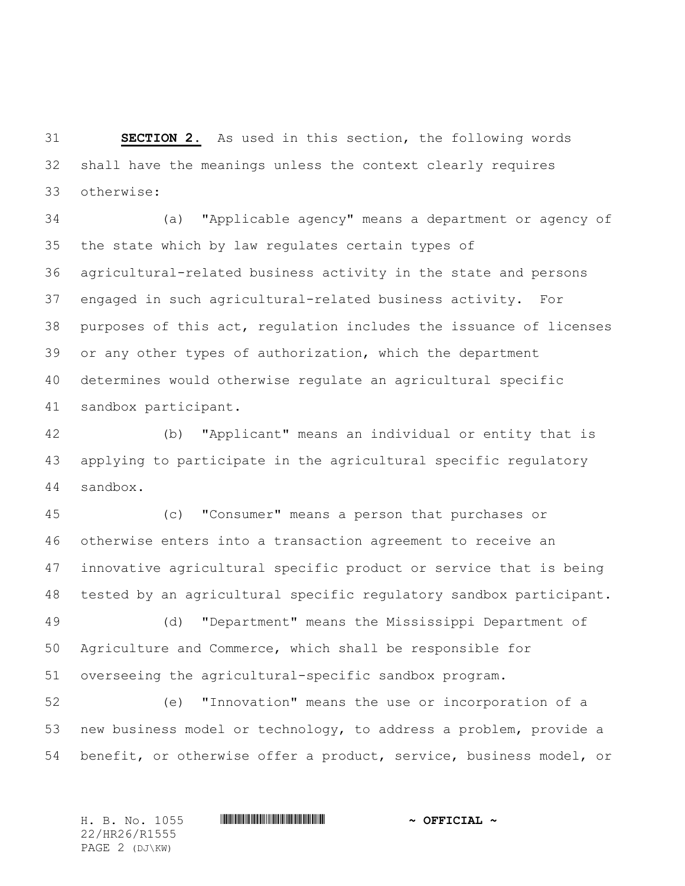**SECTION 2.** As used in this section, the following words shall have the meanings unless the context clearly requires otherwise:

 (a) "Applicable agency" means a department or agency of the state which by law regulates certain types of agricultural-related business activity in the state and persons engaged in such agricultural-related business activity. For purposes of this act, regulation includes the issuance of licenses or any other types of authorization, which the department determines would otherwise regulate an agricultural specific sandbox participant.

 (b) "Applicant" means an individual or entity that is applying to participate in the agricultural specific regulatory sandbox.

 (c) "Consumer" means a person that purchases or otherwise enters into a transaction agreement to receive an innovative agricultural specific product or service that is being tested by an agricultural specific regulatory sandbox participant.

 (d) "Department" means the Mississippi Department of Agriculture and Commerce, which shall be responsible for overseeing the agricultural-specific sandbox program.

 (e) "Innovation" means the use or incorporation of a new business model or technology, to address a problem, provide a benefit, or otherwise offer a product, service, business model, or

22/HR26/R1555 PAGE 2 (DJ\KW)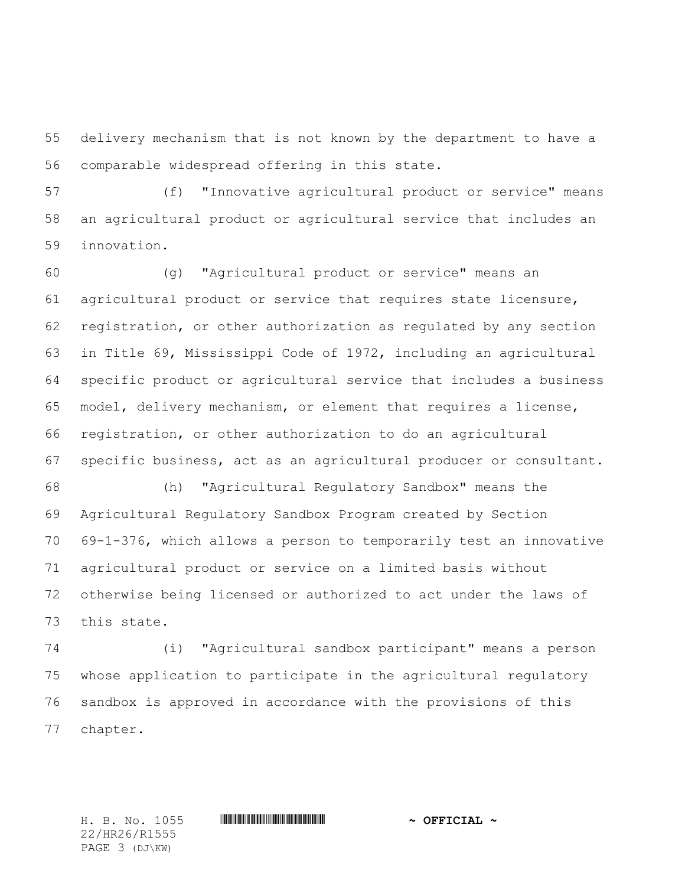delivery mechanism that is not known by the department to have a comparable widespread offering in this state.

 (f) "Innovative agricultural product or service" means an agricultural product or agricultural service that includes an innovation.

 (g) "Agricultural product or service" means an agricultural product or service that requires state licensure, registration, or other authorization as regulated by any section in Title 69, Mississippi Code of 1972, including an agricultural specific product or agricultural service that includes a business model, delivery mechanism, or element that requires a license, registration, or other authorization to do an agricultural specific business, act as an agricultural producer or consultant.

 (h) "Agricultural Regulatory Sandbox" means the Agricultural Regulatory Sandbox Program created by Section 69-1-376, which allows a person to temporarily test an innovative agricultural product or service on a limited basis without otherwise being licensed or authorized to act under the laws of this state.

 (i) "Agricultural sandbox participant" means a person whose application to participate in the agricultural regulatory sandbox is approved in accordance with the provisions of this chapter.

22/HR26/R1555 PAGE 3 (DJ\KW)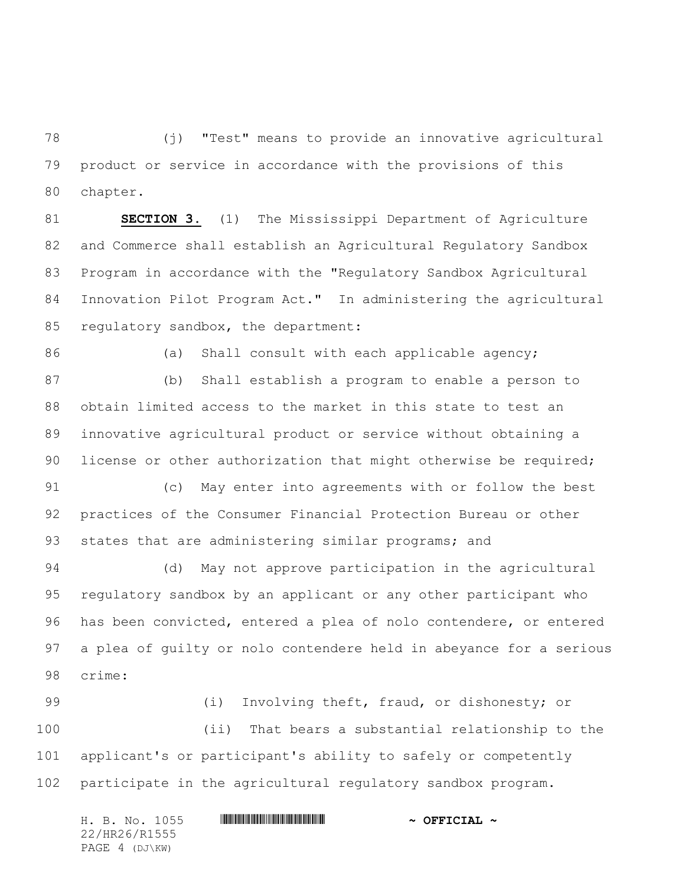(j) "Test" means to provide an innovative agricultural product or service in accordance with the provisions of this chapter.

 **SECTION 3.** (1) The Mississippi Department of Agriculture and Commerce shall establish an Agricultural Regulatory Sandbox Program in accordance with the "Regulatory Sandbox Agricultural Innovation Pilot Program Act." In administering the agricultural 85 regulatory sandbox, the department:

86 (a) Shall consult with each applicable agency;

 (b) Shall establish a program to enable a person to obtain limited access to the market in this state to test an innovative agricultural product or service without obtaining a 90 license or other authorization that might otherwise be required;

 (c) May enter into agreements with or follow the best practices of the Consumer Financial Protection Bureau or other 93 states that are administering similar programs; and

 (d) May not approve participation in the agricultural regulatory sandbox by an applicant or any other participant who has been convicted, entered a plea of nolo contendere, or entered a plea of guilty or nolo contendere held in abeyance for a serious crime:

 (i) Involving theft, fraud, or dishonesty; or (ii) That bears a substantial relationship to the applicant's or participant's ability to safely or competently participate in the agricultural regulatory sandbox program.

| H. B. No. 1055 |  | $\sim$ OFFICIAL $\sim$ |  |  |  |  |  |  |
|----------------|--|------------------------|--|--|--|--|--|--|
| 22/HR26/R1555  |  |                        |  |  |  |  |  |  |
| PAGE 4 (DJ\KW) |  |                        |  |  |  |  |  |  |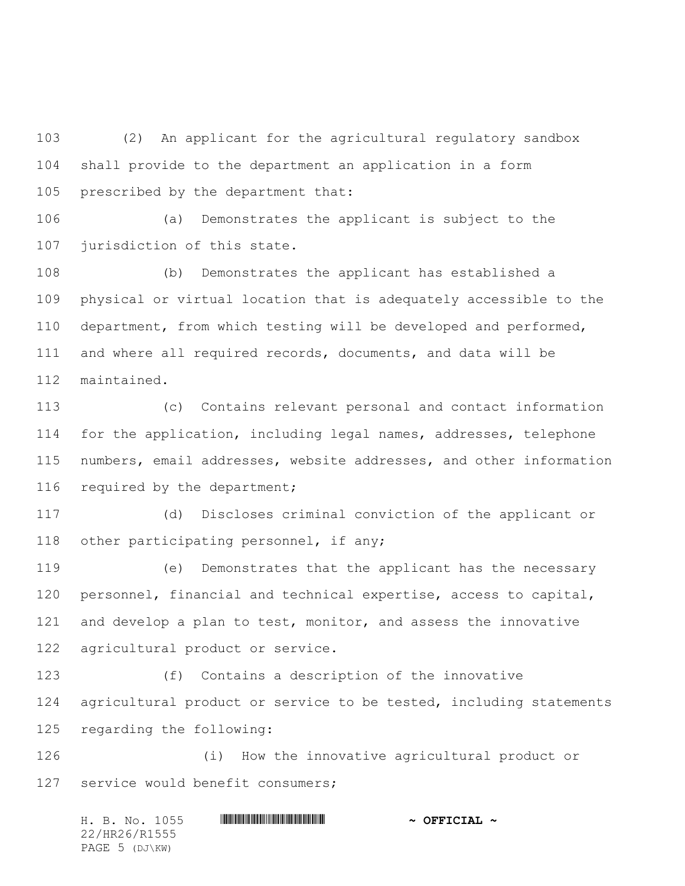(2) An applicant for the agricultural regulatory sandbox shall provide to the department an application in a form prescribed by the department that:

 (a) Demonstrates the applicant is subject to the jurisdiction of this state.

 (b) Demonstrates the applicant has established a physical or virtual location that is adequately accessible to the department, from which testing will be developed and performed, and where all required records, documents, and data will be maintained.

 (c) Contains relevant personal and contact information for the application, including legal names, addresses, telephone numbers, email addresses, website addresses, and other information 116 required by the department;

 (d) Discloses criminal conviction of the applicant or other participating personnel, if any;

 (e) Demonstrates that the applicant has the necessary personnel, financial and technical expertise, access to capital, and develop a plan to test, monitor, and assess the innovative agricultural product or service.

 (f) Contains a description of the innovative agricultural product or service to be tested, including statements regarding the following:

 (i) How the innovative agricultural product or service would benefit consumers;

H. B. No. 1055 \*HR26/R1555\* **~ OFFICIAL ~** 22/HR26/R1555 PAGE 5 (DJ\KW)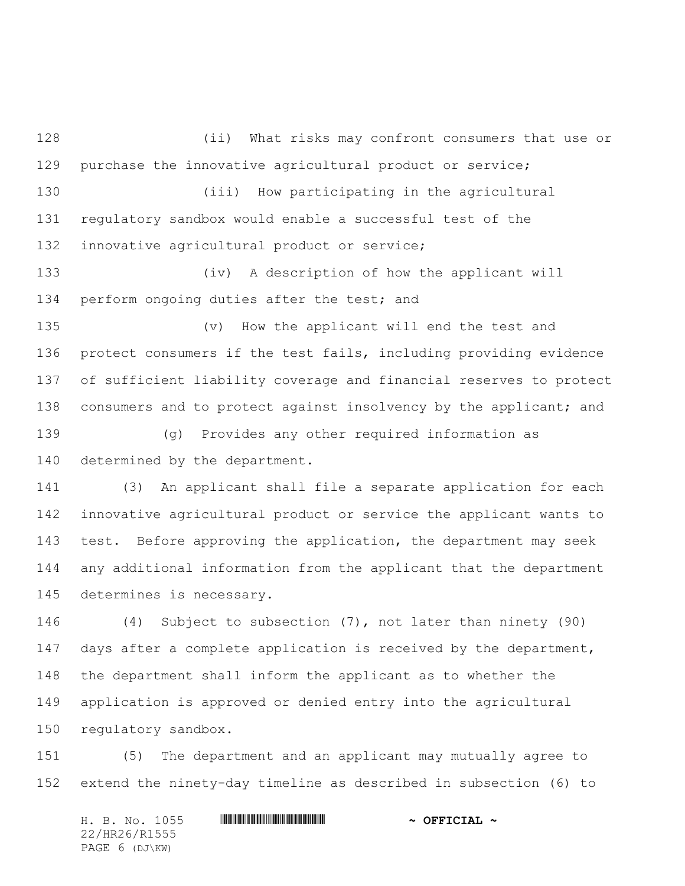(ii) What risks may confront consumers that use or purchase the innovative agricultural product or service; (iii) How participating in the agricultural regulatory sandbox would enable a successful test of the innovative agricultural product or service;

 (iv) A description of how the applicant will 134 perform ongoing duties after the test; and

 (v) How the applicant will end the test and protect consumers if the test fails, including providing evidence of sufficient liability coverage and financial reserves to protect 138 consumers and to protect against insolvency by the applicant; and

 (g) Provides any other required information as determined by the department.

 (3) An applicant shall file a separate application for each innovative agricultural product or service the applicant wants to test. Before approving the application, the department may seek any additional information from the applicant that the department determines is necessary.

 (4) Subject to subsection (7), not later than ninety (90) days after a complete application is received by the department, the department shall inform the applicant as to whether the application is approved or denied entry into the agricultural regulatory sandbox.

 (5) The department and an applicant may mutually agree to extend the ninety-day timeline as described in subsection (6) to

H. B. No. 1055 \*HR26/R1555\* **~ OFFICIAL ~** 22/HR26/R1555 PAGE 6 (DJ\KW)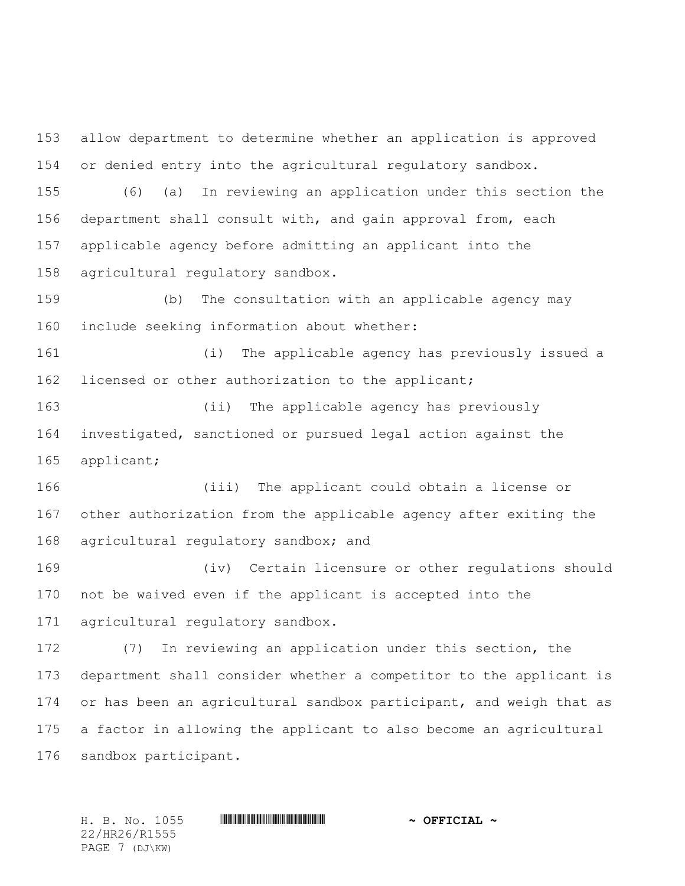allow department to determine whether an application is approved or denied entry into the agricultural regulatory sandbox.

 (6) (a) In reviewing an application under this section the department shall consult with, and gain approval from, each applicable agency before admitting an applicant into the agricultural regulatory sandbox.

 (b) The consultation with an applicable agency may include seeking information about whether:

 (i) The applicable agency has previously issued a licensed or other authorization to the applicant;

 (ii) The applicable agency has previously investigated, sanctioned or pursued legal action against the applicant;

 (iii) The applicant could obtain a license or other authorization from the applicable agency after exiting the 168 agricultural regulatory sandbox; and

 (iv) Certain licensure or other regulations should not be waived even if the applicant is accepted into the agricultural regulatory sandbox.

 (7) In reviewing an application under this section, the department shall consider whether a competitor to the applicant is or has been an agricultural sandbox participant, and weigh that as a factor in allowing the applicant to also become an agricultural sandbox participant.

22/HR26/R1555 PAGE 7 (DJ\KW)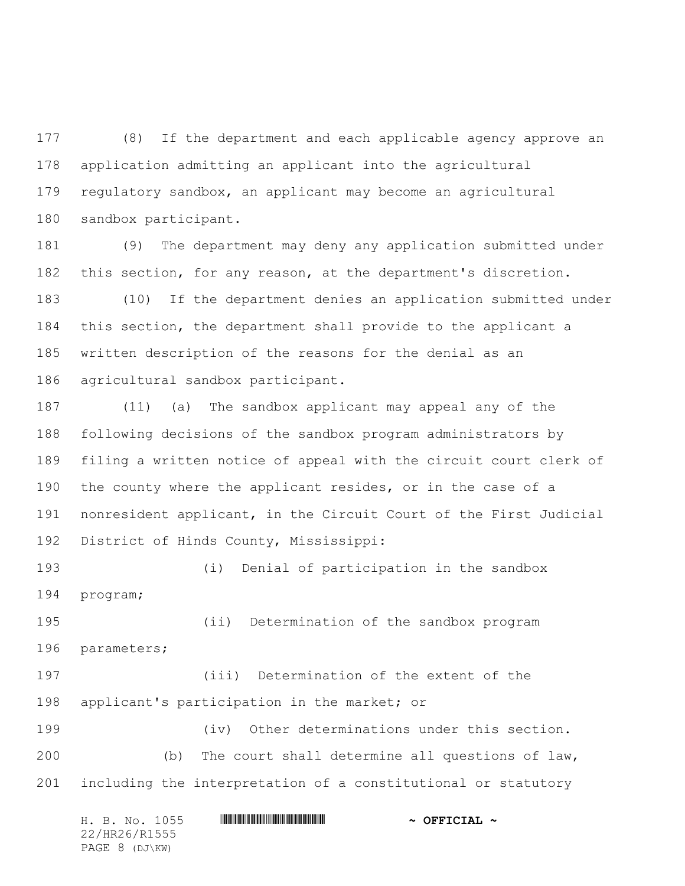(8) If the department and each applicable agency approve an application admitting an applicant into the agricultural regulatory sandbox, an applicant may become an agricultural sandbox participant.

 (9) The department may deny any application submitted under this section, for any reason, at the department's discretion.

 (10) If the department denies an application submitted under this section, the department shall provide to the applicant a written description of the reasons for the denial as an agricultural sandbox participant.

 (11) (a) The sandbox applicant may appeal any of the following decisions of the sandbox program administrators by filing a written notice of appeal with the circuit court clerk of the county where the applicant resides, or in the case of a nonresident applicant, in the Circuit Court of the First Judicial District of Hinds County, Mississippi:

 (i) Denial of participation in the sandbox program;

 (ii) Determination of the sandbox program parameters;

 (iii) Determination of the extent of the applicant's participation in the market; or

 (iv) Other determinations under this section. (b) The court shall determine all questions of law, including the interpretation of a constitutional or statutory

H. B. No. 1055 \*HR26/R1555\* **~ OFFICIAL ~** 22/HR26/R1555 PAGE 8 (DJ\KW)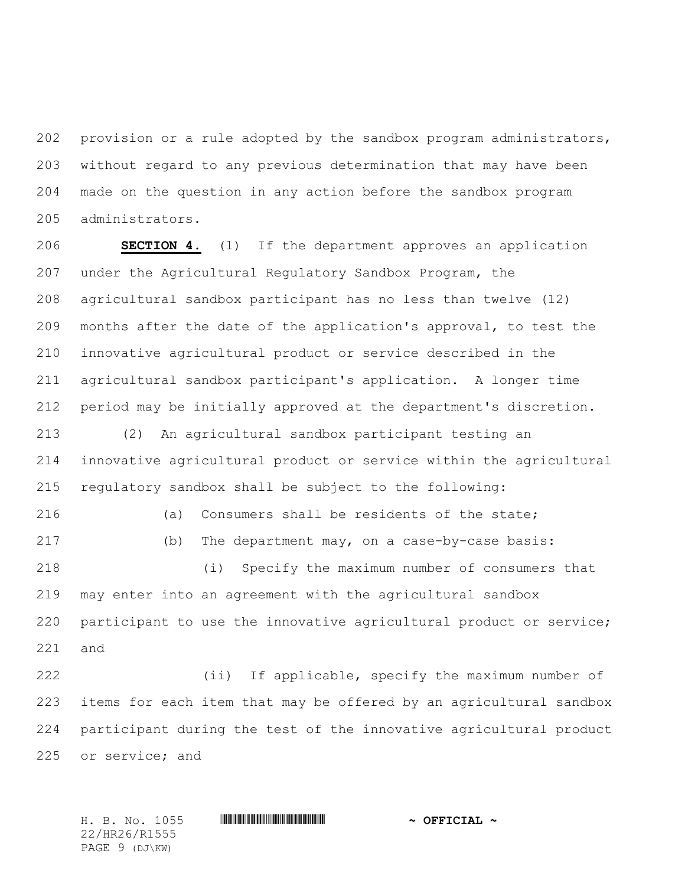provision or a rule adopted by the sandbox program administrators, without regard to any previous determination that may have been made on the question in any action before the sandbox program administrators.

 **SECTION 4.** (1) If the department approves an application under the Agricultural Regulatory Sandbox Program, the agricultural sandbox participant has no less than twelve (12) months after the date of the application's approval, to test the innovative agricultural product or service described in the agricultural sandbox participant's application. A longer time period may be initially approved at the department's discretion.

 (2) An agricultural sandbox participant testing an innovative agricultural product or service within the agricultural regulatory sandbox shall be subject to the following:

 (a) Consumers shall be residents of the state; (b) The department may, on a case-by-case basis:

 (i) Specify the maximum number of consumers that may enter into an agreement with the agricultural sandbox participant to use the innovative agricultural product or service; and

 (ii) If applicable, specify the maximum number of items for each item that may be offered by an agricultural sandbox participant during the test of the innovative agricultural product or service; and

22/HR26/R1555 PAGE 9 (DJ\KW)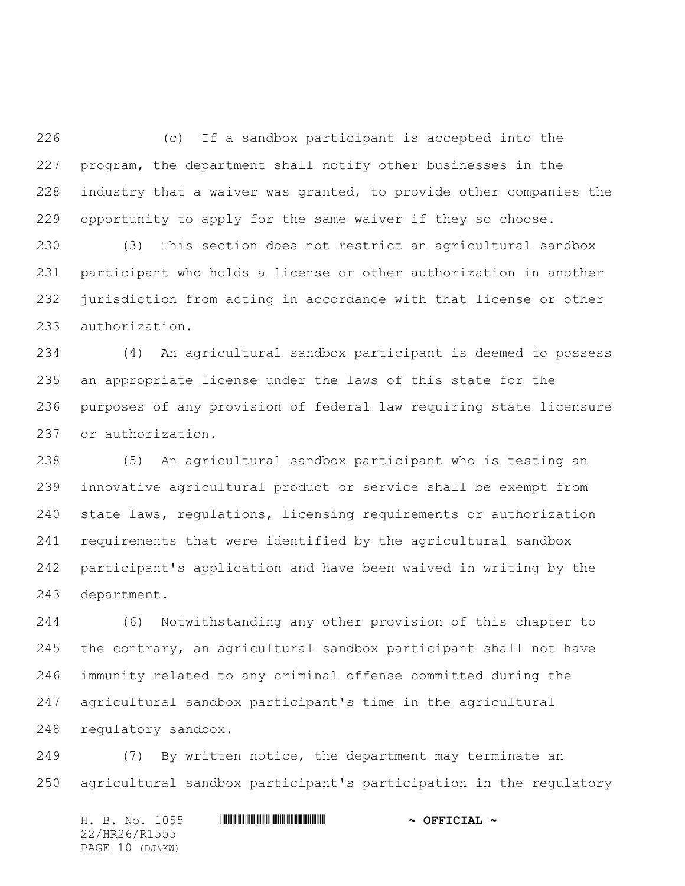(c) If a sandbox participant is accepted into the program, the department shall notify other businesses in the industry that a waiver was granted, to provide other companies the opportunity to apply for the same waiver if they so choose.

 (3) This section does not restrict an agricultural sandbox participant who holds a license or other authorization in another jurisdiction from acting in accordance with that license or other authorization.

 (4) An agricultural sandbox participant is deemed to possess an appropriate license under the laws of this state for the purposes of any provision of federal law requiring state licensure or authorization.

 (5) An agricultural sandbox participant who is testing an innovative agricultural product or service shall be exempt from state laws, regulations, licensing requirements or authorization requirements that were identified by the agricultural sandbox participant's application and have been waived in writing by the department.

 (6) Notwithstanding any other provision of this chapter to the contrary, an agricultural sandbox participant shall not have immunity related to any criminal offense committed during the agricultural sandbox participant's time in the agricultural regulatory sandbox.

 (7) By written notice, the department may terminate an agricultural sandbox participant's participation in the regulatory

H. B. No. 1055 \*HR26/R1555\* **~ OFFICIAL ~** 22/HR26/R1555 PAGE 10 (DJ\KW)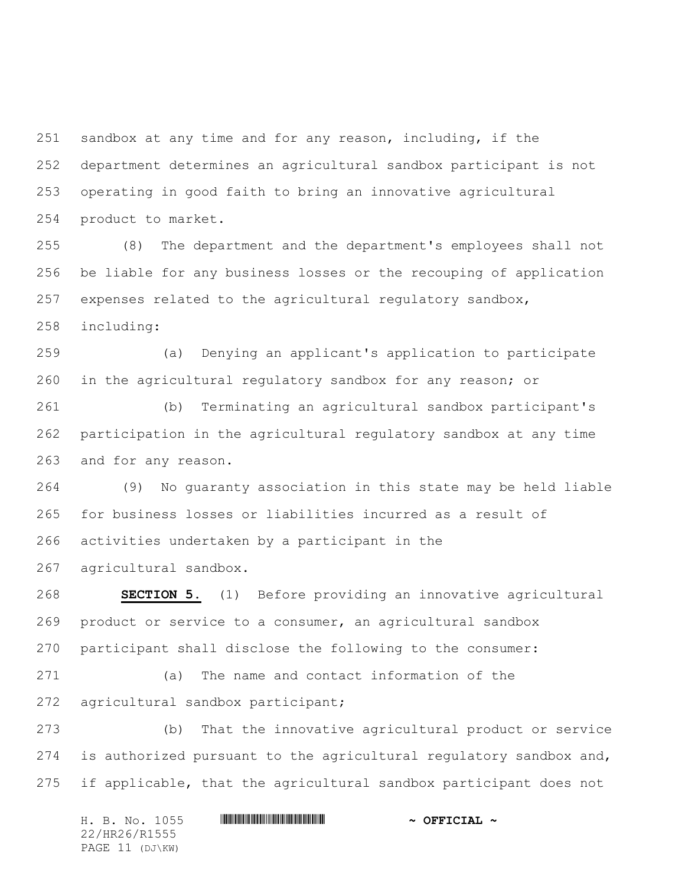sandbox at any time and for any reason, including, if the department determines an agricultural sandbox participant is not operating in good faith to bring an innovative agricultural product to market.

 (8) The department and the department's employees shall not be liable for any business losses or the recouping of application expenses related to the agricultural regulatory sandbox,

including:

 (a) Denying an applicant's application to participate in the agricultural regulatory sandbox for any reason; or

 (b) Terminating an agricultural sandbox participant's participation in the agricultural regulatory sandbox at any time and for any reason.

 (9) No guaranty association in this state may be held liable for business losses or liabilities incurred as a result of activities undertaken by a participant in the

agricultural sandbox.

 **SECTION 5.** (1) Before providing an innovative agricultural product or service to a consumer, an agricultural sandbox participant shall disclose the following to the consumer:

 (a) The name and contact information of the agricultural sandbox participant;

 (b) That the innovative agricultural product or service is authorized pursuant to the agricultural regulatory sandbox and, if applicable, that the agricultural sandbox participant does not

H. B. No. 1055 \*HR26/R1555\* **~ OFFICIAL ~** 22/HR26/R1555 PAGE 11 (DJ\KW)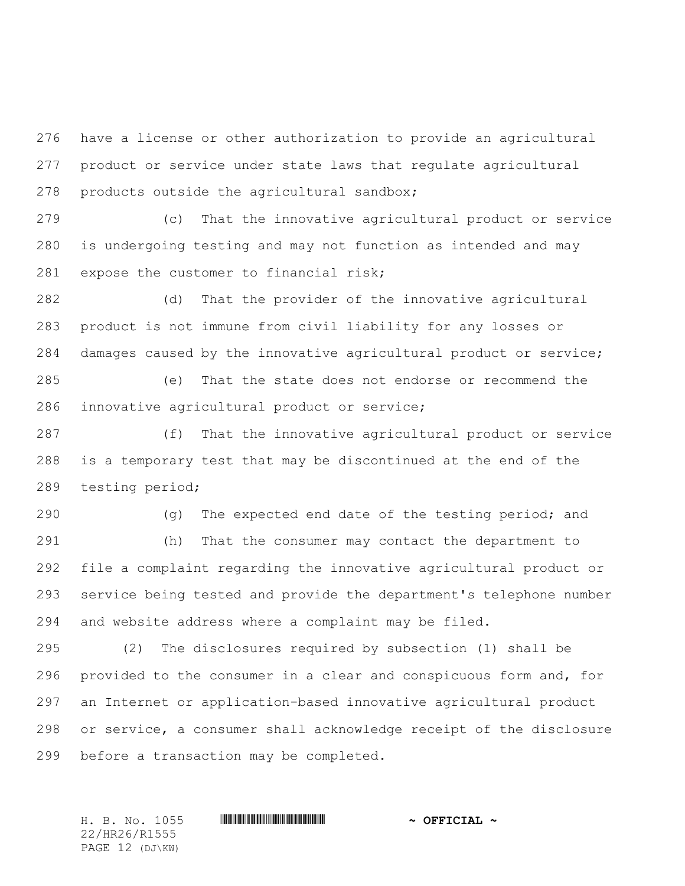have a license or other authorization to provide an agricultural product or service under state laws that regulate agricultural products outside the agricultural sandbox;

 (c) That the innovative agricultural product or service is undergoing testing and may not function as intended and may 281 expose the customer to financial risk;

 (d) That the provider of the innovative agricultural product is not immune from civil liability for any losses or damages caused by the innovative agricultural product or service;

 (e) That the state does not endorse or recommend the innovative agricultural product or service;

 (f) That the innovative agricultural product or service is a temporary test that may be discontinued at the end of the testing period;

290 (g) The expected end date of the testing period; and (h) That the consumer may contact the department to file a complaint regarding the innovative agricultural product or service being tested and provide the department's telephone number and website address where a complaint may be filed.

 (2) The disclosures required by subsection (1) shall be provided to the consumer in a clear and conspicuous form and, for an Internet or application-based innovative agricultural product or service, a consumer shall acknowledge receipt of the disclosure before a transaction may be completed.

22/HR26/R1555 PAGE 12 (DJ\KW)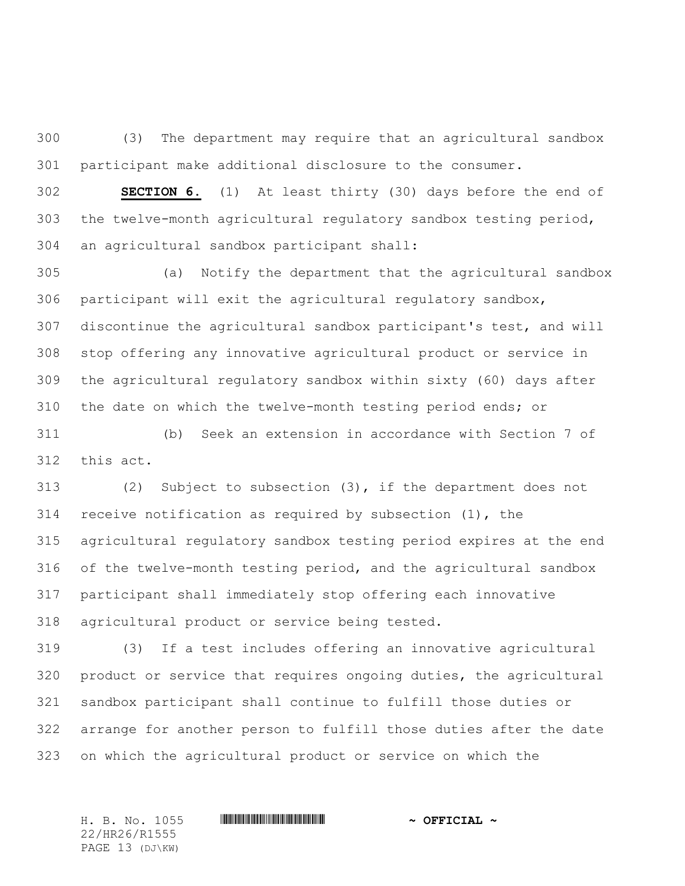(3) The department may require that an agricultural sandbox participant make additional disclosure to the consumer.

 **SECTION 6.** (1) At least thirty (30) days before the end of the twelve-month agricultural regulatory sandbox testing period, an agricultural sandbox participant shall:

 (a) Notify the department that the agricultural sandbox participant will exit the agricultural regulatory sandbox, discontinue the agricultural sandbox participant's test, and will stop offering any innovative agricultural product or service in the agricultural regulatory sandbox within sixty (60) days after the date on which the twelve-month testing period ends; or

 (b) Seek an extension in accordance with Section 7 of this act.

 (2) Subject to subsection (3), if the department does not receive notification as required by subsection (1), the agricultural regulatory sandbox testing period expires at the end of the twelve-month testing period, and the agricultural sandbox participant shall immediately stop offering each innovative agricultural product or service being tested.

 (3) If a test includes offering an innovative agricultural product or service that requires ongoing duties, the agricultural sandbox participant shall continue to fulfill those duties or arrange for another person to fulfill those duties after the date on which the agricultural product or service on which the

22/HR26/R1555 PAGE 13 (DJ\KW)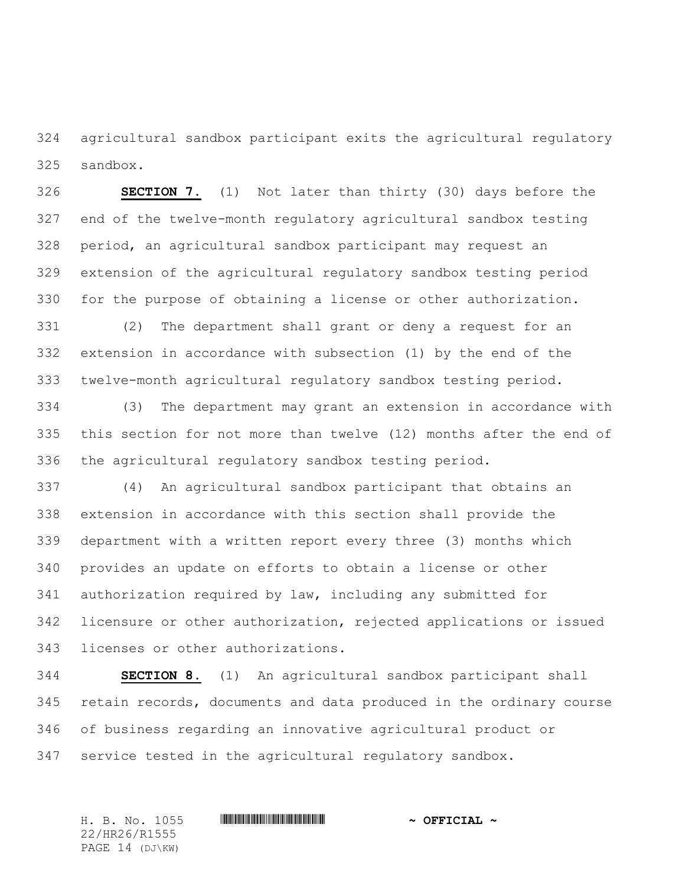agricultural sandbox participant exits the agricultural regulatory sandbox.

 **SECTION 7.** (1) Not later than thirty (30) days before the end of the twelve-month regulatory agricultural sandbox testing period, an agricultural sandbox participant may request an extension of the agricultural regulatory sandbox testing period for the purpose of obtaining a license or other authorization.

 (2) The department shall grant or deny a request for an extension in accordance with subsection (1) by the end of the twelve-month agricultural regulatory sandbox testing period.

 (3) The department may grant an extension in accordance with this section for not more than twelve (12) months after the end of the agricultural regulatory sandbox testing period.

 (4) An agricultural sandbox participant that obtains an extension in accordance with this section shall provide the department with a written report every three (3) months which provides an update on efforts to obtain a license or other authorization required by law, including any submitted for licensure or other authorization, rejected applications or issued licenses or other authorizations.

 **SECTION 8.** (1) An agricultural sandbox participant shall retain records, documents and data produced in the ordinary course of business regarding an innovative agricultural product or service tested in the agricultural regulatory sandbox.

H. B. No. 1055 \*HR26/R1555\* **~ OFFICIAL ~** 22/HR26/R1555 PAGE 14 (DJ\KW)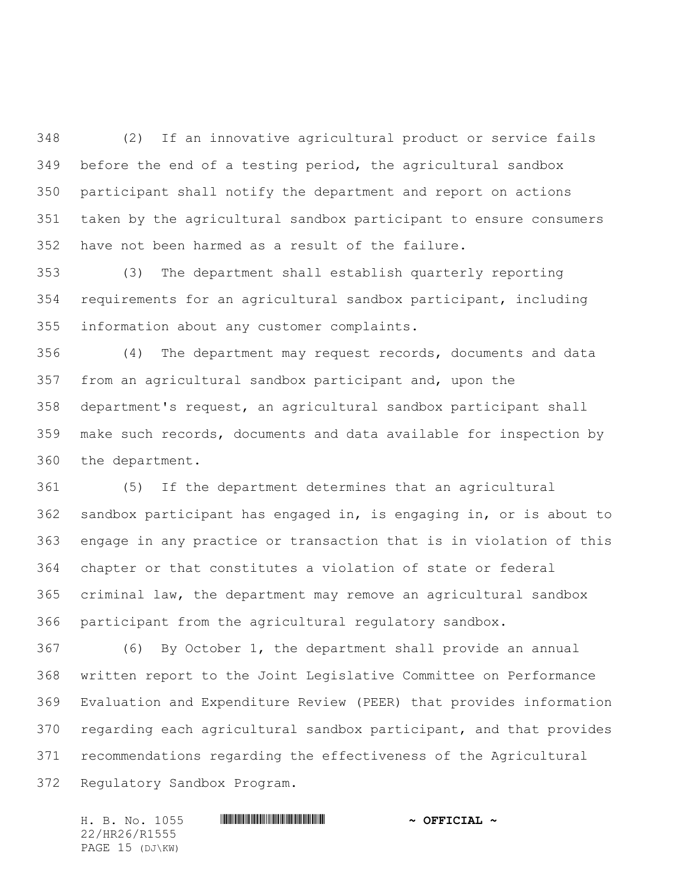(2) If an innovative agricultural product or service fails before the end of a testing period, the agricultural sandbox participant shall notify the department and report on actions taken by the agricultural sandbox participant to ensure consumers have not been harmed as a result of the failure.

 (3) The department shall establish quarterly reporting requirements for an agricultural sandbox participant, including information about any customer complaints.

 (4) The department may request records, documents and data from an agricultural sandbox participant and, upon the department's request, an agricultural sandbox participant shall make such records, documents and data available for inspection by the department.

 (5) If the department determines that an agricultural sandbox participant has engaged in, is engaging in, or is about to engage in any practice or transaction that is in violation of this chapter or that constitutes a violation of state or federal criminal law, the department may remove an agricultural sandbox participant from the agricultural regulatory sandbox.

 (6) By October 1, the department shall provide an annual written report to the Joint Legislative Committee on Performance Evaluation and Expenditure Review (PEER) that provides information regarding each agricultural sandbox participant, and that provides recommendations regarding the effectiveness of the Agricultural Regulatory Sandbox Program.

22/HR26/R1555 PAGE 15 (DJ\KW)